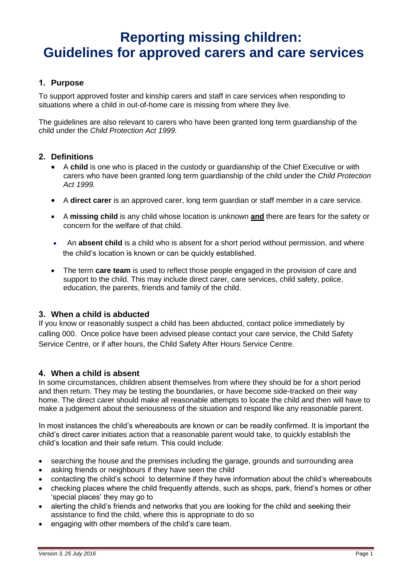# **Reporting missing children: Guidelines for approved carers and care services**

# **1. Purpose**

To support approved foster and kinship carers and staff in care services when responding to situations where a child in out-of-home care is missing from where they live.

The guidelines are also relevant to carers who have been granted long term guardianship of the child under the *Child Protection Act 1999.*

### **2. Definitions**

- A **child** is one who is placed in the custody or guardianship of the Chief Executive or with carers who have been granted long term guardianship of the child under the *Child Protection Act 1999.*
- A **direct carer** is an approved carer, long term guardian or staff member in a care service.
- A **missing child** is any child whose location is unknown **and** there are fears for the safety or concern for the welfare of that child.
- An **absent child** is a child who is absent for a short period without permission, and where the child's location is known or can be quickly established.
- The term **care team** is used to reflect those people engaged in the provision of care and support to the child. This may include direct carer, care services, child safety, police, education, the parents, friends and family of the child.

# **3. When a child is abducted**

If you know or reasonably suspect a child has been abducted, contact police immediately by calling 000. Once police have been advised please contact your care service, the Child Safety Service Centre, or if after hours, the Child Safety After Hours Service Centre.

#### **4. When a child is absent**

In some circumstances, children absent themselves from where they should be for a short period and then return. They may be testing the boundaries, or have become side-tracked on their way home. The direct carer should make all reasonable attempts to locate the child and then will have to make a judgement about the seriousness of the situation and respond like any reasonable parent.

In most instances the child's whereabouts are known or can be readily confirmed. It is important the child's direct carer initiates action that a reasonable parent would take, to quickly establish the child's location and their safe return. This could include:

- searching the house and the premises including the garage, grounds and surrounding area
- asking friends or neighbours if they have seen the child
- contacting the child's school to determine if they have information about the child's whereabouts
- checking places where the child frequently attends, such as shops, park, friend's homes or other 'special places' they may go to
- alerting the child's friends and networks that you are looking for the child and seeking their assistance to find the child, where this is appropriate to do so
- engaging with other members of the child's care team.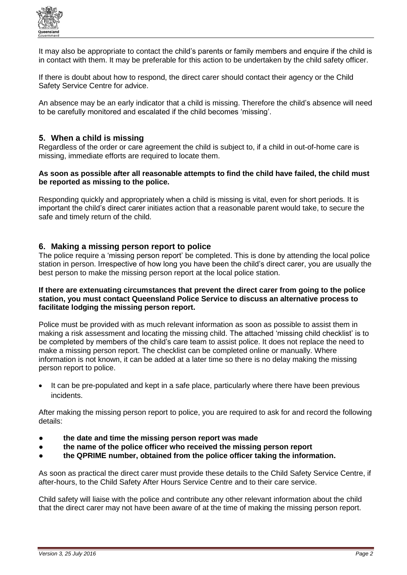

It may also be appropriate to contact the child's parents or family members and enquire if the child is in contact with them. It may be preferable for this action to be undertaken by the child safety officer.

If there is doubt about how to respond, the direct carer should contact their agency or the Child Safety Service Centre for advice.

An absence may be an early indicator that a child is missing. Therefore the child's absence will need to be carefully monitored and escalated if the child becomes 'missing'.

## **5. When a child is missing**

Regardless of the order or care agreement the child is subject to, if a child in out-of-home care is missing, immediate efforts are required to locate them.

#### **As soon as possible after all reasonable attempts to find the child have failed, the child must be reported as missing to the police.**

Responding quickly and appropriately when a child is missing is vital, even for short periods. It is important the child's direct carer initiates action that a reasonable parent would take, to secure the safe and timely return of the child.

#### **6. Making a missing person report to police**

The police require a 'missing person report' be completed. This is done by attending the local police station in person. Irrespective of how long you have been the child's direct carer, you are usually the best person to make the missing person report at the local police station.

#### **If there are extenuating circumstances that prevent the direct carer from going to the police station, you must contact Queensland Police Service to discuss an alternative process to facilitate lodging the missing person report.**

Police must be provided with as much relevant information as soon as possible to assist them in making a risk assessment and locating the missing child. The attached 'missing child checklist' is to be completed by members of the child's care team to assist police. It does not replace the need to make a missing person report. The checklist can be completed online or manually. Where information is not known, it can be added at a later time so there is no delay making the missing person report to police.

• It can be pre-populated and kept in a safe place, particularly where there have been previous incidents.

After making the missing person report to police, you are required to ask for and record the following details:

- the date and time the missing person report was made
- the name of the police officer who received the missing person report
- **the QPRIME number, obtained from the police officer taking the information.**

As soon as practical the direct carer must provide these details to the Child Safety Service Centre, if after-hours, to the Child Safety After Hours Service Centre and to their care service.

Child safety will liaise with the police and contribute any other relevant information about the child that the direct carer may not have been aware of at the time of making the missing person report.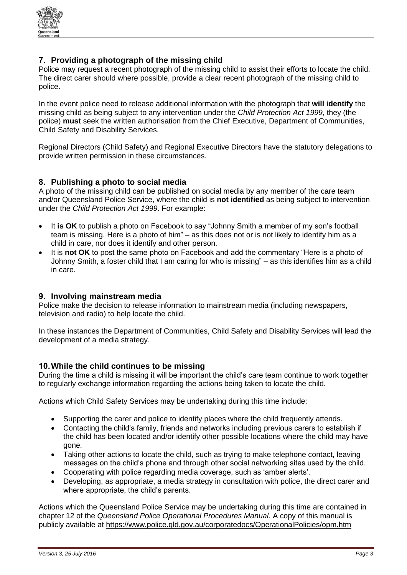

# **7. Providing a photograph of the missing child**

Police may request a recent photograph of the missing child to assist their efforts to locate the child. The direct carer should where possible, provide a clear recent photograph of the missing child to police.

In the event police need to release additional information with the photograph that **will identify** the missing child as being subject to any intervention under the *Child Protection Act 1999*, they (the police) **must** seek the written authorisation from the Chief Executive, Department of Communities, Child Safety and Disability Services.

Regional Directors (Child Safety) and Regional Executive Directors have the statutory delegations to provide written permission in these circumstances.

# **8. Publishing a photo to social media**

A photo of the missing child can be published on social media by any member of the care team and/or Queensland Police Service, where the child is **not identified** as being subject to intervention under the *Child Protection Act 1999*. For example:

- It is OK to publish a photo on Facebook to say "Johnny Smith a member of my son's football team is missing. Here is a photo of him" – as this does not or is not likely to identify him as a child in care, nor does it identify and other person.
- It is **not OK** to post the same photo on Facebook and add the commentary "Here is a photo of Johnny Smith, a foster child that I am caring for who is missing" – as this identifies him as a child in care.

# **9. Involving mainstream media**

Police make the decision to release information to mainstream media (including newspapers, television and radio) to help locate the child.

In these instances the Department of Communities, Child Safety and Disability Services will lead the development of a media strategy.

#### **10.While the child continues to be missing**

During the time a child is missing it will be important the child's care team continue to work together to regularly exchange information regarding the actions being taken to locate the child.

Actions which Child Safety Services may be undertaking during this time include:

- Supporting the carer and police to identify places where the child frequently attends.
- Contacting the child's family, friends and networks including previous carers to establish if the child has been located and/or identify other possible locations where the child may have gone.
- Taking other actions to locate the child, such as trying to make telephone contact, leaving messages on the child's phone and through other social networking sites used by the child.
- Cooperating with police regarding media coverage, such as 'amber alerts'.
- Developing, as appropriate, a media strategy in consultation with police, the direct carer and where appropriate, the child's parents.

Actions which the Queensland Police Service may be undertaking during this time are contained in chapter 12 of the *Queensland Police Operational Procedures Manual*. A copy of this manual is publicly available at<https://www.police.qld.gov.au/corporatedocs/OperationalPolicies/opm.htm>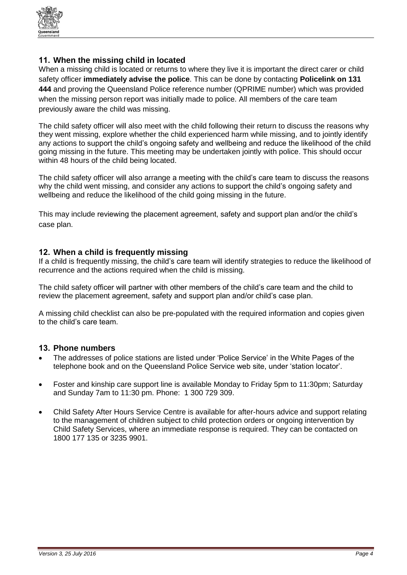

# **11. When the missing child in located**

When a missing child is located or returns to where they live it is important the direct carer or child safety officer **immediately advise the police**. This can be done by contacting **Policelink on 131 444** and proving the Queensland Police reference number (QPRIME number) which was provided when the missing person report was initially made to police. All members of the care team previously aware the child was missing.

The child safety officer will also meet with the child following their return to discuss the reasons why they went missing, explore whether the child experienced harm while missing, and to jointly identify any actions to support the child's ongoing safety and wellbeing and reduce the likelihood of the child going missing in the future. This meeting may be undertaken jointly with police. This should occur within 48 hours of the child being located.

The child safety officer will also arrange a meeting with the child's care team to discuss the reasons why the child went missing, and consider any actions to support the child's ongoing safety and wellbeing and reduce the likelihood of the child going missing in the future.

This may include reviewing the placement agreement, safety and support plan and/or the child's case plan.

### **12. When a child is frequently missing**

If a child is frequently missing, the child's care team will identify strategies to reduce the likelihood of recurrence and the actions required when the child is missing.

The child safety officer will partner with other members of the child's care team and the child to review the placement agreement, safety and support plan and/or child's case plan.

A missing child checklist can also be pre-populated with the required information and copies given to the child's care team.

#### **13. Phone numbers**

- The addresses of police stations are listed under 'Police Service' in the White Pages of the telephone book and on the Queensland Police Service web site, under ['station locator'.](http://www.police.qld.gov.au/apps/stationlocator/)
- Foster and kinship care support line is available Monday to Friday 5pm to 11:30pm; Saturday and Sunday 7am to 11:30 pm. Phone: 1 300 729 309.
- Child Safety After Hours Service Centre is available for after-hours advice and support relating to the management of children subject to child protection orders or ongoing intervention by Child Safety Services, where an immediate response is required. They can be contacted on 1800 177 135 or 3235 9901.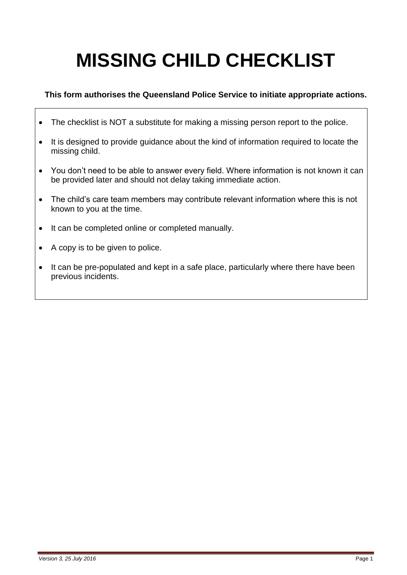# **MISSING CHILD CHECKLIST**

# **This form authorises the Queensland Police Service to initiate appropriate actions.**

- The checklist is NOT a substitute for making a missing person report to the police.
- It is designed to provide guidance about the kind of information required to locate the missing child.
- You don't need to be able to answer every field. Where information is not known it can be provided later and should not delay taking immediate action.
- The child's care team members may contribute relevant information where this is not known to you at the time.
- It can be completed online or completed manually.
- A copy is to be given to police.
- It can be pre-populated and kept in a safe place, particularly where there have been previous incidents.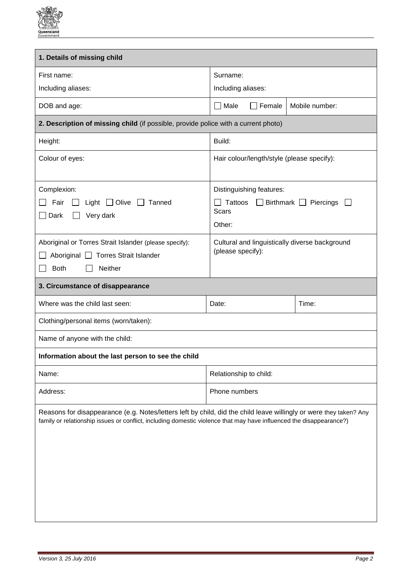

| 1. Details of missing child                                                                                                                                                                                                               |                                                                                                                |  |
|-------------------------------------------------------------------------------------------------------------------------------------------------------------------------------------------------------------------------------------------|----------------------------------------------------------------------------------------------------------------|--|
| First name:<br>Including aliases:                                                                                                                                                                                                         | Surname:<br>Including aliases:                                                                                 |  |
|                                                                                                                                                                                                                                           |                                                                                                                |  |
| DOB and age:                                                                                                                                                                                                                              | $\square$ Male<br>Mobile number:<br>Female                                                                     |  |
| 2. Description of missing child (if possible, provide police with a current photo)                                                                                                                                                        |                                                                                                                |  |
| Height:                                                                                                                                                                                                                                   | Build:                                                                                                         |  |
| Colour of eyes:                                                                                                                                                                                                                           | Hair colour/length/style (please specify):                                                                     |  |
| Complexion:<br>Light $\Box$ Olive<br>Tanned<br>Fair<br>$\Box$ Dark<br>Very dark                                                                                                                                                           | Distinguishing features:<br>$\Box$ Birthmark $\Box$<br>Tattoos<br>Piercings<br>$\mathbf{I}$<br>Scars<br>Other: |  |
| Aboriginal or Torres Strait Islander (please specify):<br>Aboriginal   Torres Strait Islander<br>Neither<br><b>Both</b>                                                                                                                   | Cultural and linguistically diverse background<br>(please specify):                                            |  |
| 3. Circumstance of disappearance                                                                                                                                                                                                          |                                                                                                                |  |
| Where was the child last seen:                                                                                                                                                                                                            | Time:<br>Date:                                                                                                 |  |
| Clothing/personal items (worn/taken):                                                                                                                                                                                                     |                                                                                                                |  |
| Name of anyone with the child:                                                                                                                                                                                                            |                                                                                                                |  |
| Information about the last person to see the child                                                                                                                                                                                        |                                                                                                                |  |
| Name:                                                                                                                                                                                                                                     | Relationship to child:                                                                                         |  |
| Address:                                                                                                                                                                                                                                  | Phone numbers                                                                                                  |  |
| Reasons for disappearance (e.g. Notes/letters left by child, did the child leave willingly or were they taken? Any<br>family or relationship issues or conflict, including domestic violence that may have influenced the disappearance?) |                                                                                                                |  |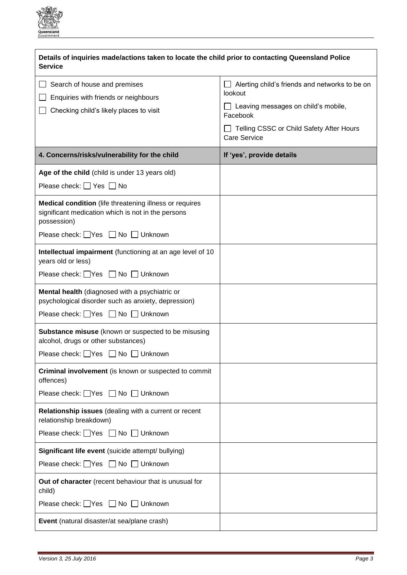

| Details of inquiries made/actions taken to locate the child prior to contacting Queensland Police<br><b>Service</b>                                           |                                                                                                                                                                                        |  |
|---------------------------------------------------------------------------------------------------------------------------------------------------------------|----------------------------------------------------------------------------------------------------------------------------------------------------------------------------------------|--|
| Search of house and premises<br>Enquiries with friends or neighbours<br>Checking child's likely places to visit                                               | Alerting child's friends and networks to be on<br>lookout<br>$\Box$ Leaving messages on child's mobile,<br>Facebook<br>Telling CSSC or Child Safety After Hours<br><b>Care Service</b> |  |
| 4. Concerns/risks/vulnerability for the child                                                                                                                 | If 'yes', provide details                                                                                                                                                              |  |
| Age of the child (child is under 13 years old)<br>Please check: $\Box$ Yes $\Box$ No                                                                          |                                                                                                                                                                                        |  |
| Medical condition (life threatening illness or requires<br>significant medication which is not in the persons<br>possession)                                  |                                                                                                                                                                                        |  |
| Please check: Ves No Unknown                                                                                                                                  |                                                                                                                                                                                        |  |
| Intellectual impairment (functioning at an age level of 10<br>years old or less)                                                                              |                                                                                                                                                                                        |  |
| Please check: Ves No Unknown                                                                                                                                  |                                                                                                                                                                                        |  |
| Mental health (diagnosed with a psychiatric or<br>psychological disorder such as anxiety, depression)<br>Please check: $\Box$ Yes $\Box$ No $\Box$<br>Unknown |                                                                                                                                                                                        |  |
| Substance misuse (known or suspected to be misusing<br>alcohol, drugs or other substances)<br>Please check: Ves No Unknown                                    |                                                                                                                                                                                        |  |
| Criminal involvement (is known or suspected to commit<br>offences)                                                                                            |                                                                                                                                                                                        |  |
| Please check: Ves No Unknown                                                                                                                                  |                                                                                                                                                                                        |  |
| Relationship issues (dealing with a current or recent<br>relationship breakdown)                                                                              |                                                                                                                                                                                        |  |
| Please check: Ves No Unknown                                                                                                                                  |                                                                                                                                                                                        |  |
| Significant life event (suicide attempt/ bullying)                                                                                                            |                                                                                                                                                                                        |  |
| Please check: Ves No Unknown                                                                                                                                  |                                                                                                                                                                                        |  |
| Out of character (recent behaviour that is unusual for<br>child)                                                                                              |                                                                                                                                                                                        |  |
| Please check: Ves No Unknown                                                                                                                                  |                                                                                                                                                                                        |  |
| Event (natural disaster/at sea/plane crash)                                                                                                                   |                                                                                                                                                                                        |  |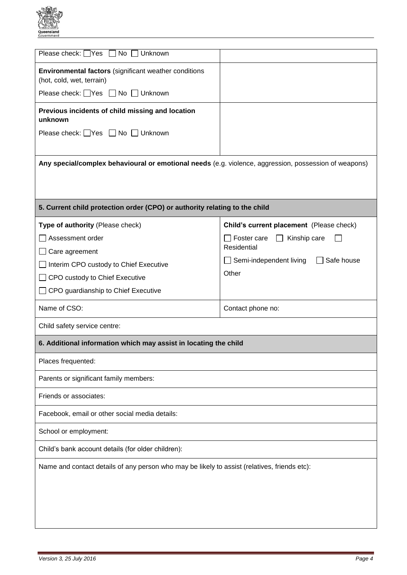

| Please check: $\Box$ Yes $\Box$ No<br>Unknown                                                         |                                                  |  |
|-------------------------------------------------------------------------------------------------------|--------------------------------------------------|--|
| <b>Environmental factors</b> (significant weather conditions<br>(hot, cold, wet, terrain)             |                                                  |  |
| Please check: Ves No Unknown                                                                          |                                                  |  |
| Previous incidents of child missing and location<br>unknown                                           |                                                  |  |
| Please check: Ves No Unknown                                                                          |                                                  |  |
|                                                                                                       |                                                  |  |
| Any special/complex behavioural or emotional needs (e.g. violence, aggression, possession of weapons) |                                                  |  |
|                                                                                                       |                                                  |  |
| 5. Current child protection order (CPO) or authority relating to the child                            |                                                  |  |
| Type of authority (Please check)                                                                      | Child's current placement (Please check)         |  |
| Assessment order                                                                                      | $\Box$ Foster care<br>Kinship care<br>$\perp$    |  |
| Care agreement                                                                                        | Residential                                      |  |
| Interim CPO custody to Chief Executive                                                                | $\Box$ Semi-independent living $\Box$ Safe house |  |
| CPO custody to Chief Executive                                                                        | Other                                            |  |
| CPO guardianship to Chief Executive                                                                   |                                                  |  |
| Name of CSO:                                                                                          | Contact phone no:                                |  |
| Child safety service centre:                                                                          |                                                  |  |
| 6. Additional information which may assist in locating the child                                      |                                                  |  |
| Places frequented:                                                                                    |                                                  |  |
| Parents or significant family members:                                                                |                                                  |  |
| Friends or associates:                                                                                |                                                  |  |
| Facebook, email or other social media details:                                                        |                                                  |  |
| School or employment:                                                                                 |                                                  |  |
| Child's bank account details (for older children):                                                    |                                                  |  |
| Name and contact details of any person who may be likely to assist (relatives, friends etc):          |                                                  |  |
|                                                                                                       |                                                  |  |
|                                                                                                       |                                                  |  |
|                                                                                                       |                                                  |  |